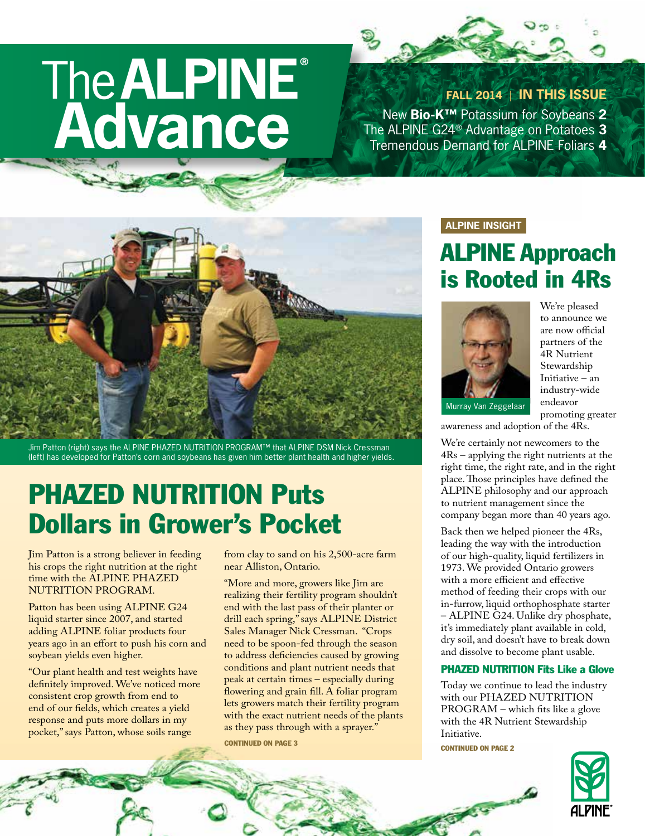# The**ALPINE® Advance**

**FALL 2014** | **IN THIS ISSUE**

New **Bio-K™** Potassium for Soybeans **2** The ALPINE G24® Advantage on Potatoes **3** Tremendous Demand for ALPINE Foliars **4**



Jim Patton (right) says the ALPINE PHAZED NUTRITION PROGRAM™ that ALPINE DSM Nick Cressman (left) has developed for Patton's corn and soybeans has given him better plant health and higher yields.

### PHAZED NUTRITION Puts Dollars in Grower's Pocket

Jim Patton is a strong believer in feeding his crops the right nutrition at the right time with the ALPINE PHAZED NUTRITION PROGRAM.

Patton has been using ALPINE G24 liquid starter since 2007, and started adding ALPINE foliar products four years ago in an effort to push his corn and soybean yields even higher.

"Our plant health and test weights have definitely improved. We've noticed more consistent crop growth from end to end of our fields, which creates a yield response and puts more dollars in my pocket," says Patton, whose soils range

from clay to sand on his 2,500-acre farm near Alliston, Ontario.

"More and more, growers like Jim are realizing their fertility program shouldn't end with the last pass of their planter or drill each spring," says ALPINE District Sales Manager Nick Cressman. "Crops need to be spoon-fed through the season to address deficiencies caused by growing conditions and plant nutrient needs that peak at certain times – especially during flowering and grain fill. A foliar program lets growers match their fertility program with the exact nutrient needs of the plants as they pass through with a sprayer."

**CONTINUED ON PAGE 3** CONTINUED ON PAGE 3

#### **ALPINE INSIGHT**

### ALPINE Approach is Rooted in 4Rs



We're pleased to announce we are now official partners of the 4R Nutrient Stewardship Initiative – an industry-wide endeavor promoting greater

awareness and adoption of the 4Rs.

We're certainly not newcomers to the 4Rs – applying the right nutrients at the right time, the right rate, and in the right place. Those principles have defined the ALPINE philosophy and our approach to nutrient management since the company began more than 40 years ago.

Back then we helped pioneer the 4Rs, leading the way with the introduction of our high-quality, liquid fertilizers in 1973. We provided Ontario growers with a more efficient and effective method of feeding their crops with our in-furrow, liquid orthophosphate starter – ALPINE G24. Unlike dry phosphate, it's immediately plant available in cold, dry soil, and doesn't have to break down and dissolve to become plant usable.

#### PHAZED NUTRITION Fits Like a Glove

Today we continue to lead the industry with our PHAZED NUTRITION PROGRAM – which fits like a glove with the 4R Nutrient Stewardship Initiative.

STATISTICS ROOM

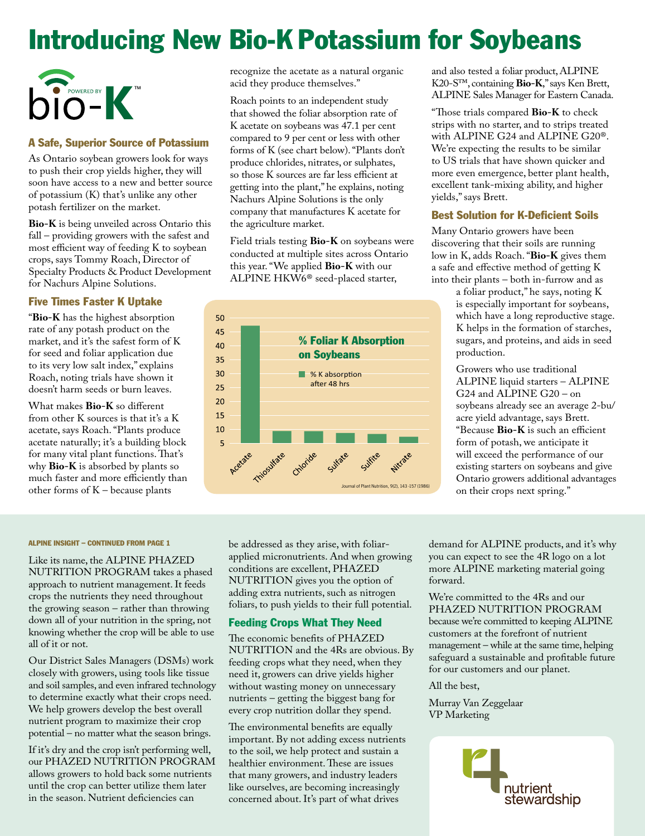## Introducing New Bio-K Potassium for Soybeans



#### A Safe, Superior Source of Potassium

As Ontario soybean growers look for ways to push their crop yields higher, they will soon have access to a new and better source of potassium (K) that's unlike any other potash fertilizer on the market.

**Bio-K** is being unveiled across Ontario this fall – providing growers with the safest and most efficient way of feeding K to soybean crops, says Tommy Roach, Director of Specialty Products & Product Development for Nachurs Alpine Solutions.

#### Five Times Faster K Uptake

"**Bio-K** has the highest absorption rate of any potash product on the market, and it's the safest form of K for seed and foliar application due to its very low salt index," explains Roach, noting trials have shown it doesn't harm seeds or burn leaves.

What makes **Bio-K** so different from other K sources is that it's a K acetate, says Roach. "Plants produce acetate naturally; it's a building block for many vital plant functions. That's why **Bio-K** is absorbed by plants so much faster and more efficiently than other forms of K – because plants

recognize the acetate as a natural organic acid they produce themselves."

Roach points to an independent study that showed the foliar absorption rate of K acetate on soybeans was 47.1 per cent compared to 9 per cent or less with other forms of K (see chart below). "Plants don't produce chlorides, nitrates, or sulphates, so those K sources are far less efficient at getting into the plant," he explains, noting Nachurs Alpine Solutions is the only company that manufactures K acetate for the agriculture market.

Field trials testing **Bio-K** on soybeans were conducted at multiple sites across Ontario this year. "We applied **Bio-K** with our ALPINE HKW6<sup>®</sup> seed-placed starter,



and also tested a foliar product, ALPINE K20-S™, containing **Bio-K**," says Ken Brett, ALPINE Sales Manager for Eastern Canada.

"Those trials compared **Bio-K** to check strips with no starter, and to strips treated with ALPINE G24 and ALPINE G20®. We're expecting the results to be similar to US trials that have shown quicker and more even emergence, better plant health, excellent tank-mixing ability, and higher yields," says Brett.

#### Best Solution for K-Deficient Soils

Many Ontario growers have been discovering that their soils are running low in K, adds Roach. "**Bio-K** gives them a safe and effective method of getting K into their plants – both in-furrow and as

a foliar product," he says, noting K is especially important for soybeans, which have a long reproductive stage. K helps in the formation of starches, sugars, and proteins, and aids in seed production.

Growers who use traditional ALPINE liquid starters – ALPINE G24 and ALPINE G20 – on soybeans already see an average 2-bu/ acre yield advantage, says Brett. "Because **Bio-K** is such an efficient form of potash, we anticipate it will exceed the performance of our existing starters on soybeans and give Ontario growers additional advantages on their crops next spring."

#### ALPINE INSIGHT – CONTINUED FROM PAGE 1

Like its name, the ALPINE PHAZED NUTRITION PROGRAM takes a phased approach to nutrient management. It feeds crops the nutrients they need throughout the growing season – rather than throwing down all of your nutrition in the spring, not knowing whether the crop will be able to use all of it or not.

Our District Sales Managers (DSMs) work closely with growers, using tools like tissue and soil samples, and even infrared technology to determine exactly what their crops need. We help growers develop the best overall nutrient program to maximize their crop potential – no matter what the season brings.

If it's dry and the crop isn't performing well, our PHAZED NUTRITION PROGRAM allows growers to hold back some nutrients until the crop can better utilize them later in the season. Nutrient deficiencies can

be addressed as they arise, with foliarapplied micronutrients. And when growing conditions are excellent, PHAZED NUTRITION gives you the option of adding extra nutrients, such as nitrogen foliars, to push yields to their full potential.

#### Feeding Crops What They Need

The economic benefits of PHAZED NUTRITION and the 4Rs are obvious. By feeding crops what they need, when they need it, growers can drive yields higher without wasting money on unnecessary nutrients – getting the biggest bang for every crop nutrition dollar they spend.

The environmental benefits are equally important. By not adding excess nutrients to the soil, we help protect and sustain a healthier environment. These are issues that many growers, and industry leaders like ourselves, are becoming increasingly concerned about. It's part of what drives

demand for ALPINE products, and it's why you can expect to see the 4R logo on a lot more ALPINE marketing material going forward.

We're committed to the 4Rs and our PHAZED NUTRITION PROGRAM because we're committed to keeping ALPINE customers at the forefront of nutrient management – while at the same time, helping safeguard a sustainable and profitable future for our customers and our planet.

#### All the best,

Murray Van Zeggelaar VP Marketing

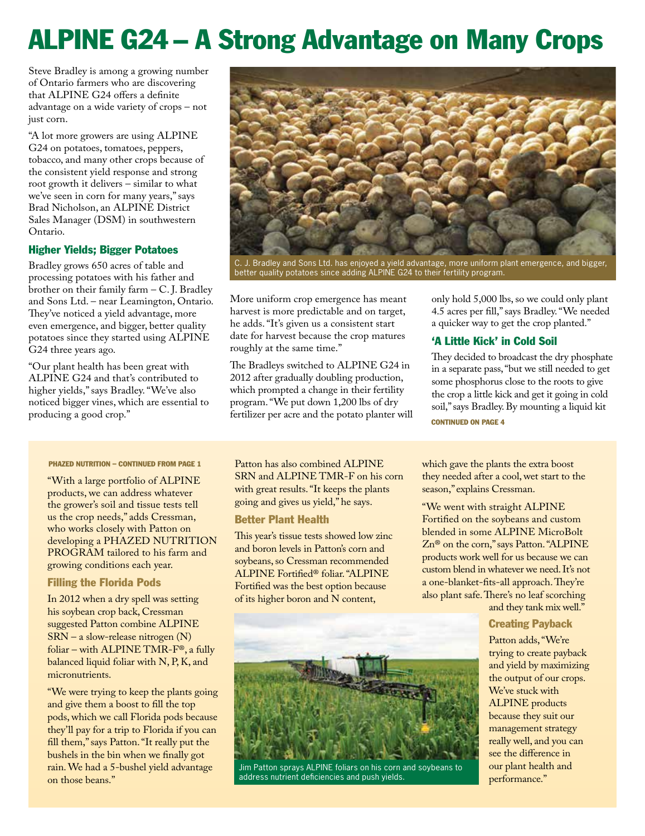# ALPINE G24 – A Strong Advantage on Many Crops

Steve Bradley is among a growing number of Ontario farmers who are discovering that ALPINE G24 offers a definite advantage on a wide variety of crops – not just corn.

"A lot more growers are using ALPINE G24 on potatoes, tomatoes, peppers, tobacco, and many other crops because of the consistent yield response and strong root growth it delivers – similar to what we've seen in corn for many years," says Brad Nicholson, an ALPINE District Sales Manager (DSM) in southwestern Ontario.

#### Higher Yields; Bigger Potatoes

Bradley grows 650 acres of table and processing potatoes with his father and brother on their family farm – C. J. Bradley and Sons Ltd. – near Leamington, Ontario. They've noticed a yield advantage, more even emergence, and bigger, better quality potatoes since they started using ALPINE G24 three years ago.

"Our plant health has been great with ALPINE G24 and that's contributed to higher yields," says Bradley. "We've also noticed bigger vines, which are essential to producing a good crop."



C. J. Bradley and Sons Ltd. has enjoyed a yield advantage, more uniform plant emergence, and bigger, better quality potatoes since adding ALPINE G24 to their fertility program.

More uniform crop emergence has meant harvest is more predictable and on target, he adds. "It's given us a consistent start date for harvest because the crop matures roughly at the same time."

The Bradleys switched to ALPINE G24 in 2012 after gradually doubling production, which prompted a change in their fertility program. "We put down 1,200 lbs of dry fertilizer per acre and the potato planter will only hold 5,000 lbs, so we could only plant 4.5 acres per fill," says Bradley. "We needed a quicker way to get the crop planted."

#### 'A Little Kick' in Cold Soil

They decided to broadcast the dry phosphate in a separate pass, "but we still needed to get some phosphorus close to the roots to give the crop a little kick and get it going in cold soil," says Bradley. By mounting a liquid kit CONTINUED ON PAGE 4

#### PHAZED NUTRITION – CONTINUED FROM PAGE 1

"With a large portfolio of ALPINE products, we can address whatever the grower's soil and tissue tests tell us the crop needs," adds Cressman, who works closely with Patton on developing a PHAZED NUTRITION PROGRAM tailored to his farm and growing conditions each year.

#### Filling the Florida Pods

In 2012 when a dry spell was setting his soybean crop back, Cressman suggested Patton combine ALPINE SRN – a slow-release nitrogen (N) foliar – with ALPINE TMR-F®, a fully balanced liquid foliar with N, P, K, and micronutrients.

"We were trying to keep the plants going and give them a boost to fill the top pods, which we call Florida pods because they'll pay for a trip to Florida if you can fill them," says Patton. "It really put the bushels in the bin when we finally got rain. We had a 5-bushel yield advantage on those beans."

Patton has also combined ALPINE SRN and ALPINE TMR-F on his corn with great results. "It keeps the plants going and gives us yield," he says.

#### Better Plant Health

This year's tissue tests showed low zinc and boron levels in Patton's corn and soybeans, so Cressman recommended ALPINE Fortified® foliar. "ALPINE Fortified was the best option because of its higher boron and N content,

which gave the plants the extra boost they needed after a cool, wet start to the season," explains Cressman.

"We went with straight ALPINE Fortified on the soybeans and custom blended in some ALPINE MicroBolt Zn® on the corn," says Patton. "ALPINE products work well for us because we can custom blend in whatever we need. It's not a one-blanket-fits-all approach. They're also plant safe. There's no leaf scorching

and they tank mix well."

#### Creating Payback

Patton adds, "We're trying to create payback and yield by maximizing the output of our crops. We've stuck with ALPINE products because they suit our management strategy really well, and you can see the difference in our plant health and performance."



Jim Patton sprays ALPINE foliars on his corn and soybeans to address nutrient deficiencies and push yields.